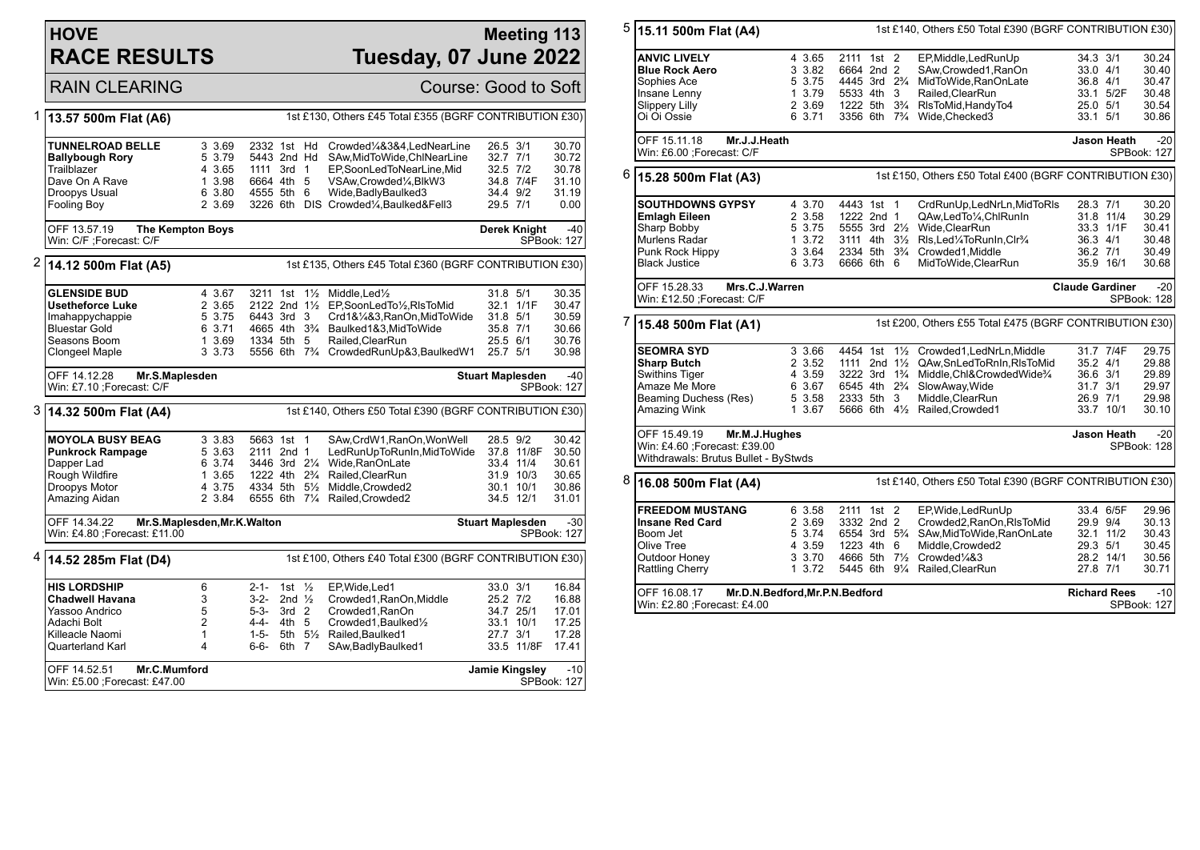## **HOVE RACE RESULTS**

## **Meeting 113 Tuesday, 07 June 2022**

RAIN CLEARING Course: Good to Soft

| 1 | 13.57 500m Flat (A6)                                                |                              |                                        |                   | 1st £130, Others £45 Total £355 (BGRF CONTRIBUTION £30)         |          |                         |                      |
|---|---------------------------------------------------------------------|------------------------------|----------------------------------------|-------------------|-----------------------------------------------------------------|----------|-------------------------|----------------------|
|   | <b>TUNNELROAD BELLE</b>                                             | 3 3.69                       | 2332 1st Hd                            |                   | Crowded1/4&3&4,LedNearLine                                      | 26.5 3/1 |                         | 30.70                |
|   | <b>Ballybough Rory</b>                                              | 5 3.79                       | 5443 2nd Hd                            |                   | SAw, Mid To Wide, ChlNear Line                                  | 32.7 7/1 |                         | 30.72                |
|   | Trailblazer                                                         | 4 3.65                       | 1111 3rd 1                             |                   | EP,SoonLedToNearLine,Mid                                        | 32.5 7/2 |                         | 30.78                |
|   | Dave On A Rave                                                      | 1 3.98                       | 6664 4th 5                             |                   | VSAw, Crowded <sup>1</sup> / <sub>4</sub> , BlkW3               |          | 34.8 7/4F               | 31.10                |
|   | Droopys Usual                                                       | 6 3.80                       | 4555 5th 6                             |                   | Wide, Badly Baulked 3                                           | 34.4 9/2 |                         | 31.19                |
|   | <b>Fooling Boy</b>                                                  | 2 3.69                       |                                        |                   | 3226 6th DIS Crowded1/4, Baulked&Fell3                          | 29.5 7/1 |                         | 0.00                 |
|   | OFF 13.57.19<br><b>The Kempton Boys</b><br>Win: C/F : Forecast: C/F |                              |                                        |                   |                                                                 |          | Derek Knight            | $-40$<br>SPBook: 127 |
| 2 | 14.12 500m Flat (A5)                                                |                              |                                        |                   | 1st £135, Others £45 Total £360 (BGRF CONTRIBUTION £30)         |          |                         |                      |
|   |                                                                     |                              |                                        |                   |                                                                 |          |                         |                      |
|   | <b>GLENSIDE BUD</b>                                                 | 4 3.67                       | 3211 1st                               |                   | $1\frac{1}{2}$ Middle, Led $\frac{1}{2}$                        | 31.8 5/1 |                         | 30.35                |
|   | <b>Usetheforce Luke</b>                                             | 2 3.65                       |                                        |                   | 2122 2nd 11/2 EP, SoonLed To1/2, RIs To Mid                     |          | 32.1 1/1F               | 30.47                |
|   | Imahappychappie                                                     | 5 3.75                       | 6443 3rd 3                             |                   | Crd1&1/4&3,RanOn,MidToWide                                      | 31.8 5/1 |                         | 30.59                |
|   | <b>Bluestar Gold</b>                                                | 6 3.71                       |                                        |                   | 4665 4th 3 <sup>3</sup> / <sub>4</sub> Baulked1&3, MidTo Wide   | 35.8 7/1 |                         | 30.66                |
|   | Seasons Boom                                                        | 1 3.69                       | 1334 5th 5                             |                   | Railed, ClearRun                                                | 25.5 6/1 |                         | 30.76                |
|   | Clongeel Maple                                                      | 3 3.73                       |                                        |                   | 5556 6th 7 <sup>3</sup> / <sub>4</sub> CrowdedRunUp&3,BaulkedW1 | 25.7 5/1 |                         | 30.98                |
|   | OFF 14.12.28<br>Mr.S.Maplesden<br>Win: £7.10 ; Forecast: C/F        |                              |                                        |                   |                                                                 |          | <b>Stuart Maplesden</b> | $-40$<br>SPBook: 127 |
|   |                                                                     |                              |                                        |                   |                                                                 |          |                         |                      |
| 3 | 14.32 500m Flat (A4)                                                |                              |                                        |                   | 1st £140, Others £50 Total £390 (BGRF CONTRIBUTION £30)         |          |                         |                      |
|   | <b>MOYOLA BUSY BEAG</b>                                             | 3 3.83                       | 5663 1st 1                             |                   | SAw,CrdW1,RanOn,WonWell                                         | 28.5 9/2 |                         | 30.42                |
|   | <b>Punkrock Rampage</b>                                             | 5 3.63                       | 2111 2nd 1                             |                   | LedRunUpToRunIn, MidToWide                                      |          | 37.8 11/8F              | 30.50                |
|   | Dapper Lad                                                          | 6 3.74                       |                                        |                   | 3446 3rd 21/4 Wide, RanOnLate                                   |          | 33.4 11/4               | 30.61                |
|   | Rough Wildfire                                                      | 1 3.65                       | 1222 4th 2 <sup>3</sup> / <sub>4</sub> |                   | Railed, ClearRun                                                |          | 31.9 10/3               | 30.65                |
|   | Droopys Motor                                                       | 4 3.75                       | 4334 5th 51/2                          |                   | Middle, Crowded2                                                |          | 30.1 10/1               | 30.86                |
|   | Amazing Aidan                                                       | 2 3.84                       |                                        |                   | 6555 6th 71/4 Railed, Crowded 2                                 |          | 34.5 12/1               | 31.01                |
|   | OFF 14.34.22<br>Win: £4.80 ; Forecast: £11.00                       | Mr.S.Maplesden, Mr.K. Walton |                                        |                   |                                                                 |          | <b>Stuart Maplesden</b> | $-30$<br>SPBook: 127 |
| 4 |                                                                     |                              |                                        |                   | 1st £100, Others £40 Total £300 (BGRF CONTRIBUTION £30)         |          |                         |                      |
|   | 14.52 285m Flat (D4)                                                |                              |                                        |                   |                                                                 |          |                         |                      |
|   | <b>HIS LORDSHIP</b>                                                 | 6                            | 2-1-                                   | 1st $\frac{1}{2}$ | EP, Wide, Led1                                                  | 33.0 3/1 |                         | 16.84                |
|   | <b>Chadwell Havana</b>                                              | 3                            | $3 - 2 -$                              | 2nd $\frac{1}{2}$ | Crowded1, RanOn, Middle                                         | 25.2 7/2 |                         | 16.88                |
|   | Yassoo Andrico                                                      | 5                            | 5-3-                                   | 3rd <sub>2</sub>  | Crowded1, RanOn                                                 |          | 34.7 25/1               | 17.01                |
|   | Adachi Bolt                                                         | $\overline{2}$               | 4-4- 4th 5                             |                   | Crowded1, Baulked <sup>1</sup> / <sub>2</sub>                   |          | 33.1 10/1               | 17.25                |
|   | Killeacle Naomi                                                     | $\mathbf{1}$                 | $1-5-$                                 |                   | 5th 51/ <sub>2</sub> Railed, Baulked1                           | 27.7 3/1 |                         | 17.28                |
|   | Quarterland Karl                                                    | 4                            | 6-6-                                   | 6th 7             | SAw, Badly Baulked 1                                            |          | 33.5 11/8F              | 17.41                |
|   | OFF 14.52.51<br>Mr.C.Mumford                                        |                              |                                        |                   |                                                                 |          | Jamie Kingsley          | $-10$                |
|   | Win: £5.00 ; Forecast: £47.00                                       |                              |                                        |                   |                                                                 |          |                         | SPBook: 127          |

| 5 | 15.11 500m Flat (A4)                                                                                                       |                                                          |                                                                                                                                                                         | 1st £140, Others £50 Total £390 (BGRF CONTRIBUTION £30)                                                                                                                          |                                                            |             |                                                    |
|---|----------------------------------------------------------------------------------------------------------------------------|----------------------------------------------------------|-------------------------------------------------------------------------------------------------------------------------------------------------------------------------|----------------------------------------------------------------------------------------------------------------------------------------------------------------------------------|------------------------------------------------------------|-------------|----------------------------------------------------|
|   | <b>ANVIC LIVELY</b><br><b>Blue Rock Aero</b><br>Sophies Ace<br>Insane Lenny<br><b>Slippery Lilly</b><br>Oi Oi Ossie        | 4 3.65<br>3 3.82<br>5 3.75<br>1 3.79<br>2 3.69<br>6 3.71 | 2111 1st 2<br>6664 2nd 2<br>4445 3rd 2 <sup>3</sup> / <sub>4</sub><br>5533 4th<br>3<br>1222 5th 3 <sup>3</sup> / <sub>4</sub><br>3356 6th 7 <sup>3</sup> / <sub>4</sub> | EP, Middle, Led Run Up<br>SAw, Crowded 1, RanOn<br>MidToWide, RanOnLate<br>Railed, ClearRun<br>RIsToMid, HandyTo4<br>Wide, Checked3                                              | 34.3 3/1<br>33.0 4/1<br>36.8 4/1<br>25.0 5/1<br>33.1 5/1   | 33.1 5/2F   | 30.24<br>30.40<br>30.47<br>30.48<br>30.54<br>30.86 |
|   | OFF 15.11.18<br>Mr.J.J.Heath<br>Win: £6.00 ;Forecast: C/F                                                                  |                                                          |                                                                                                                                                                         |                                                                                                                                                                                  |                                                            | Jason Heath | $-20$<br>SPBook: 127                               |
| 6 | 15.28 500m Flat (A3)                                                                                                       |                                                          |                                                                                                                                                                         | 1st £150, Others £50 Total £400 (BGRF CONTRIBUTION £30)                                                                                                                          |                                                            |             |                                                    |
|   | <b>SOUTHDOWNS GYPSY</b><br><b>Emlagh Eileen</b><br>Sharp Bobby<br>Murlens Radar<br>Punk Rock Hippy<br><b>Black Justice</b> | 4 3.70<br>2 3.58<br>5 3.75<br>1 3.72<br>3 3.64<br>6 3.73 | 4443 1st 1<br>1222 2nd 1<br>5555 3rd 21/2<br>$3111$ 4th $3\frac{1}{2}$<br>2334 5th 3 <sup>3</sup> / <sub>4</sub><br>6666 6th 6                                          | CrdRunUp,LedNrLn,MidToRIs<br>QAw,LedTo¼,ChlRunIn<br>Wide, ClearRun<br>RIs, Led 1/4 To Run In, Clr <sup>3</sup> /4<br>Crowded1, Middle<br>MidToWide,ClearRun                      | 28.3 7/1<br>31.8 11/4<br>36.3 4/1<br>36.2 7/1<br>35.9 16/1 | 33.3 1/1F   | 30.20<br>30.29<br>30.41<br>30.48<br>30.49<br>30.68 |
|   | OFF 15.28.33<br>Mrs.C.J.Warren<br>Win: £12.50 ;Forecast: C/F                                                               |                                                          |                                                                                                                                                                         |                                                                                                                                                                                  | <b>Claude Gardiner</b>                                     |             | $-20$<br>SPBook: 128                               |
| 7 | 15.48 500m Flat (A1)                                                                                                       |                                                          |                                                                                                                                                                         | 1st £200, Others £55 Total £475 (BGRF CONTRIBUTION £30)                                                                                                                          |                                                            |             |                                                    |
|   | <b>SEOMRA SYD</b><br><b>Sharp Butch</b><br><b>Swithins Tiger</b><br>Amaze Me More<br>Beaming Duchess (Res)<br>Amazing Wink | 3 3.66<br>2 3.52<br>4 3.59<br>6 3.67<br>5 3.58<br>1 3.67 | 4454 1st<br>$1\frac{1}{2}$<br>1111 2nd 11/2<br>3222 3rd 1 <sup>3</sup> / <sub>4</sub><br>6545 4th 2 <sup>3</sup> / <sub>4</sub><br>2333 5th 3                           | Crowded1, LedNrLn, Middle<br>QAw,SnLedToRnIn,RIsToMid<br>Middle, Chl&CrowdedWide <sup>3</sup> /4<br>SlowAway, Wide<br>Middle, ClearRun<br>5666 6th 41/2 Railed, Crowded1         | 35.2 4/1<br>36.6 3/1<br>31.7 3/1<br>26.9 7/1<br>33.7 10/1  | 31.7 7/4F   | 29.75<br>29.88<br>29.89<br>29.97<br>29.98<br>30.10 |
|   | Mr.M.J.Hughes<br>OFF 15.49.19<br>Win: £4.60 ; Forecast: £39.00<br>Withdrawals: Brutus Bullet - ByStwds                     |                                                          |                                                                                                                                                                         |                                                                                                                                                                                  |                                                            | Jason Heath | $-20$<br>SPBook: 128                               |
| 8 | 16.08 500m Flat (A4)                                                                                                       |                                                          |                                                                                                                                                                         | 1st £140, Others £50 Total £390 (BGRF CONTRIBUTION £30)                                                                                                                          |                                                            |             |                                                    |
|   | <b>FREEDOM MUSTANG</b><br><b>Insane Red Card</b><br>Boom Jet<br>Olive Tree<br>Outdoor Honey<br>Rattling Cherry             | 6 3.58<br>2 3.69<br>5 3.74<br>4 3.59<br>3 3.70<br>1 3.72 | 2111 1st 2<br>3332 2nd 2<br>6554 3rd 5 <sup>3</sup> / <sub>4</sub><br>1223 4th 6<br>4666 5th 7½                                                                         | EP, Wide, Led Run Up<br>Crowded2, RanOn, RIs To Mid<br>SAw, MidToWide, RanOnLate<br>Middle, Crowded2<br>Crowded <sup>1</sup> / <sub>4</sub> &3<br>5445 6th 91/4 Railed, ClearRun | 29.9 9/4<br>32.1 11/2<br>29.3 5/1<br>28.2 14/1<br>27.8 7/1 | 33.4 6/5F   | 29.96<br>30.13<br>30.43<br>30.45<br>30.56<br>30.71 |
|   | OFF 16.08.17                                                                                                               | Mr.D.N.Bedford, Mr.P.N.Bedford                           |                                                                                                                                                                         |                                                                                                                                                                                  | <b>Richard Rees</b>                                        |             | $-10$<br>SPBook: 127                               |